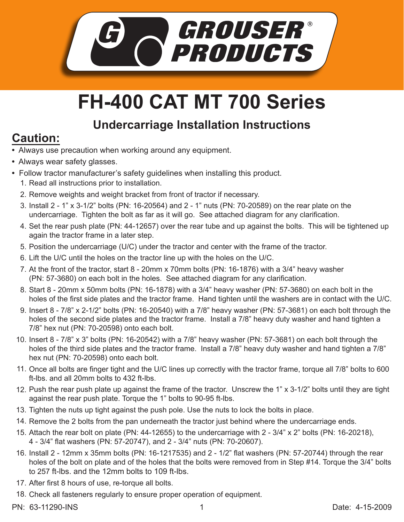

## **FH-400 CAT MT 700 Series**

## **Undercarriage Installation Instructions**

## **Caution:**

- Always use precaution when working around any equipment.
- Always wear safety glasses.
- Follow tractor manufacturer's safety guidelines when installing this product.
	- 1. Read all instructions prior to installation.
	- 2. Remove weights and weight bracket from front of tractor if necessary.
	- 3. Install 2 1" x 3-1/2" bolts (PN: 16-20564) and 2 1" nuts (PN: 70-20589) on the rear plate on the undercarriage. Tighten the bolt as far as it will go. See attached diagram for any clarification.
	- 4. Set the rear push plate (PN: 44-12657) over the rear tube and up against the bolts. This will be tightened up again the tractor frame in a later step.
	- 5. Position the undercarriage (U/C) under the tractor and center with the frame of the tractor.
	- 6. Lift the U/C until the holes on the tractor line up with the holes on the U/C.
	- 7. At the front of the tractor, start 8 20mm x 70mm bolts (PN: 16-1876) with a 3/4" heavy washer (PN: 57-3680) on each bolt in the holes. See attached diagram for any clarification.
	- Start 8 20mm x 50mm bolts (PN: 16-1878) with a 3/4" heavy washer (PN: 57-3680) on each bolt in the 8. holes of the first side plates and the tractor frame. Hand tighten until the washers are in contact with the U/C.
	- 9. Insert 8 7/8" x 2-1/2" bolts (PN: 16-20540) with a 7/8" heavy washer (PN: 57-3681) on each bolt through the holes of the second side plates and the tractor frame. Install a 7/8" heavy duty washer and hand tighten a 7/8" hex nut (PN: 70-20598) onto each bolt.
	- 10. Insert 8 7/8" x 3" bolts (PN: 16-20542) with a 7/8" heavy washer (PN: 57-3681) on each bolt through the holes of the third side plates and the tractor frame. Install a 7/8" heavy duty washer and hand tighten a 7/8" hex nut (PN: 70-20598) onto each bolt.
	- Once all bolts are finger tight and the U/C lines up correctly with the tractor frame, torque all 7/8" bolts to 600 11. ft-lbs. and all 20mm bolts to 432 ft-lbs.
	- 12. Push the rear push plate up against the frame of the tractor. Unscrew the 1" x 3-1/2" bolts until they are tight against the rear push plate. Torque the 1" bolts to 90-95 ft-lbs.
	- 13. Tighten the nuts up tight against the push pole. Use the nuts to lock the bolts in place.
	- 14. Remove the 2 bolts from the pan underneath the tractor just behind where the undercarriage ends.
	- 15. Attach the rear bolt on plate (PN: 44-12655) to the undercarriage with 2 3/4" x 2" bolts (PN: 16-20218), 4 - 3/4" flat washers (PN: 57-20747), and 2 - 3/4" nuts (PN: 70-20607).
	- 16. Install 2 12mm x 35mm bolts (PN: 16-1217535) and 2 1/2" flat washers (PN: 57-20744) through the rear holes of the bolt on plate and of the holes that the bolts were removed from in Step #14. Torque the 3/4" bolts to 257 ft-lbs. and the 12mm bolts to 109 ft-lbs.
	- 17. After first 8 hours of use, re-torque all bolts.
	- Check all fasteners regularly to ensure proper operation of equipment. 18.
- PN: 63-11290-INS 1 Date: 4-15-2009